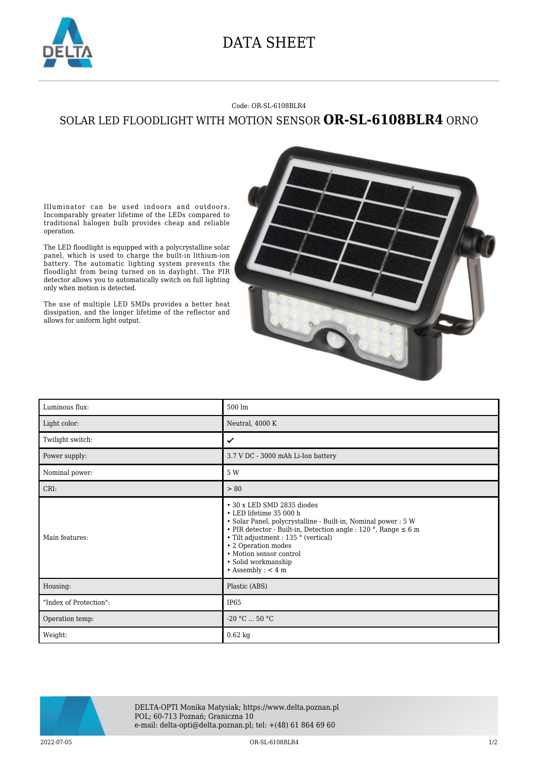

## DATA SHEET

## Code: OR-SL-6108BLR4

## SOLAR LED FLOODLIGHT WITH MOTION SENSOR **OR-SL-6108BLR4** ORNO

Illuminator can be used indoors and outdoors. Incomparably greater lifetime of the LEDs compared to traditional halogen bulb provides cheap and reliable operation.

The LED floodlight is equipped with a polycrystalline solar panel, which is used to charge the built-in lithium-ion battery. The automatic lighting system prevents the floodlight from being turned on in daylight. The PIR detector allows you to automatically switch on full lighting only when motion is detected.

The use of multiple LED SMDs provides a better heat dissipation, and the longer lifetime of the reflector and allows for uniform light output.



| Luminous flux:         | 500 lm                                                                                                                                                                                                                                                                                                                                   |
|------------------------|------------------------------------------------------------------------------------------------------------------------------------------------------------------------------------------------------------------------------------------------------------------------------------------------------------------------------------------|
| Light color:           | Neutral, 4000 K                                                                                                                                                                                                                                                                                                                          |
| Twilight switch:       | ✓                                                                                                                                                                                                                                                                                                                                        |
| Power supply:          | 3.7 V DC - 3000 mAh Li-Ion battery                                                                                                                                                                                                                                                                                                       |
| Nominal power:         | 5 W                                                                                                                                                                                                                                                                                                                                      |
| CRI:                   | > 80                                                                                                                                                                                                                                                                                                                                     |
| Main features:         | • 30 x LED SMD 2835 diodes<br>• LED lifetime 35 000 h<br>• Solar Panel, polycrystalline - Built-in, Nominal power : 5 W<br>• PIR detector - Built-in, Detection angle : 120 °, Range $\leq 6$ m<br>• Tilt adjustment : 135 ° (vertical)<br>• 2 Operation modes<br>• Motion sensor control<br>• Solid workmanship<br>• Assembly : $<$ 4 m |
| Housing:               | Plastic (ABS)                                                                                                                                                                                                                                                                                                                            |
| "Index of Protection": | IP <sub>65</sub>                                                                                                                                                                                                                                                                                                                         |
| Operation temp:        | $-20 °C  50 °C$                                                                                                                                                                                                                                                                                                                          |
| Weight:                | $0.62$ kg                                                                                                                                                                                                                                                                                                                                |



DELTA-OPTI Monika Matysiak; https://www.delta.poznan.pl POL; 60-713 Poznań; Graniczna 10 e-mail: delta-opti@delta.poznan.pl; tel: +(48) 61 864 69 60

2022-07-05 OR-SL-6108BLR4 1/2